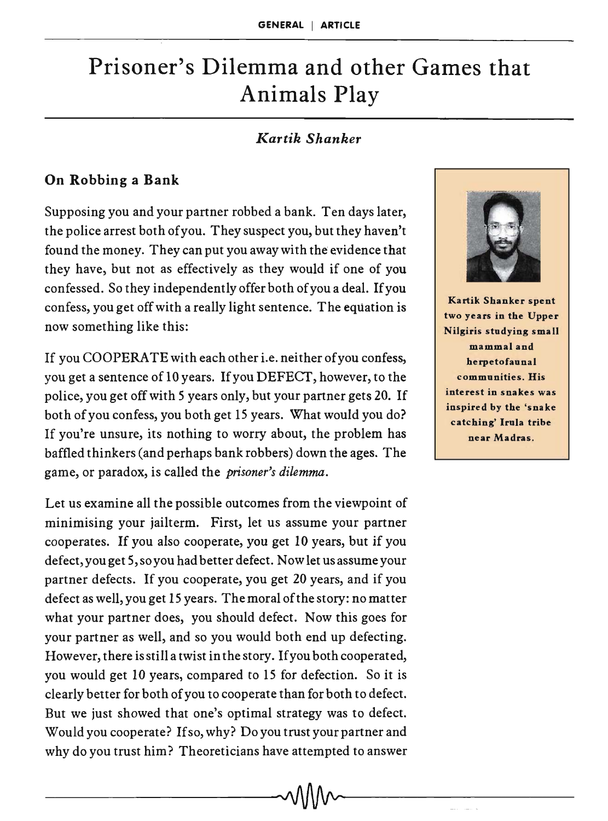# Prisoner's Dilemma and other Games that Animals Play

### *Kartik Shanker*

### On Robbing a Bank

Supposing you and your partner robbed a bank. Ten days later, the police arrest both of you. They suspect you, but they haven't found the money. They can put you away with the evidence that they have, but not as effectively as they would if one of you confessed. So they independently offer both of you a deal. If you confess, you get off with a really light sentence. The equation is now something like this:

If you COOPERATE with each other i.e. neither of you confess, you get a sentence of 10 years. If you DEFECT, however, to the police, you get off with 5 years only, but your partner gets 20. If both of you confess, you both get 15 years. What would you do? If you're unsure, its nothing to worry about, the problem has baffled thinkers (and perhaps bank robbers) down the ages. The game, or paradox, is called the *prisoner's dilemma.* 

Let us examine all the possible outcomes from the viewpoint of minimising your jailterm. First, let us assume your partner cooperates. If you also cooperate, you get 10 years, but if you defect, you get 5, so you had better defect. Now let us assume your partner defects. If you cooperate, you get 20 years, and if you defect as well, you get 15 years. The moral of the story: no matter what your partner does, you should defect. Now this goes for your partner as well, and so you would both end up defecting. However, there is still a twist in the story. If you both cooperated, you would get 10 years, compared to 15 for defection. So it is clearly better for both of you to cooperate than for both to defect. But we just showed that one's optimal strategy was to defect. Would you cooperate? If so, why? Do you trust your partner and why do you trust him? Theoreticians have attempted to answer



Kartik Shanker spent two years in the Upper Nilgiris studying small mammal and herpetofaunal communities. His interest in snakes was inspired by the 'snake catching' Irula tribe near Madras.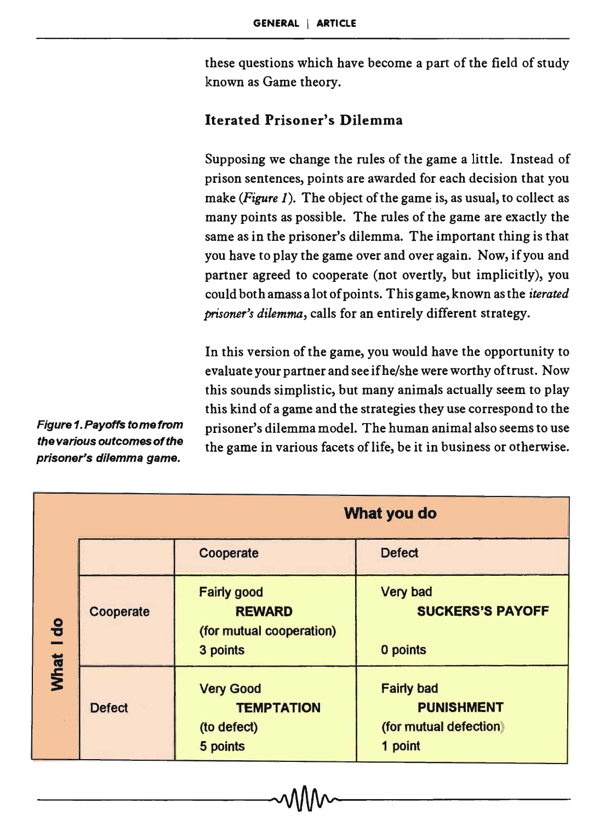these questions which have become a part of the field of study known as Game theory.

#### Iterated Prisoner's Dilemma

Supposing we change the rules of the game a little. Instead of prison sentences, points are awarded for each decision that you make *(Figure 1)*. The object of the game is, as usual, to collect as many points as possible. The rules of the game are exactly the same as in the prisoner's dilemma. The important thing is that you have to play the game over and over again. Now, if you and partner agreed to cooperate (not overtly, but implicitly), you could both amass a lot of points. This game, known as the *iterated prisoner's dilemma,* calls for an entirely different strategy.

In this version of the game, you would have the opportunity to evaluate your partner and see ifhe/she were worthy of trust. Now this sounds simplistic, but many animals actually seem to play this kind of a game and the strategies they use correspond to the prisoner's dilemma model. The human animal also seems to use the game in various facets of life, be it in business or otherwise.

Figure 1. Payoffs tome from the various outcomes of the prisoner's dilemma game.

|                               | What you do   |                                                                             |                                                                             |
|-------------------------------|---------------|-----------------------------------------------------------------------------|-----------------------------------------------------------------------------|
| $\frac{1}{10}$<br><b>What</b> |               | Cooperate                                                                   | <b>Defect</b>                                                               |
|                               | Cooperate     | <b>Fairly good</b><br><b>REWARD</b><br>(for mutual cooperation)<br>3 points | <b>Very bad</b><br><b>SUCKERS'S PAYOFF</b><br>0 points                      |
|                               | <b>Defect</b> | <b>Very Good</b><br><b>TEMPTATION</b><br>(to defect)<br>5 points            | <b>Fairly bad</b><br><b>PUNISHMENT</b><br>(for mutual defection)<br>1 point |

--------~--------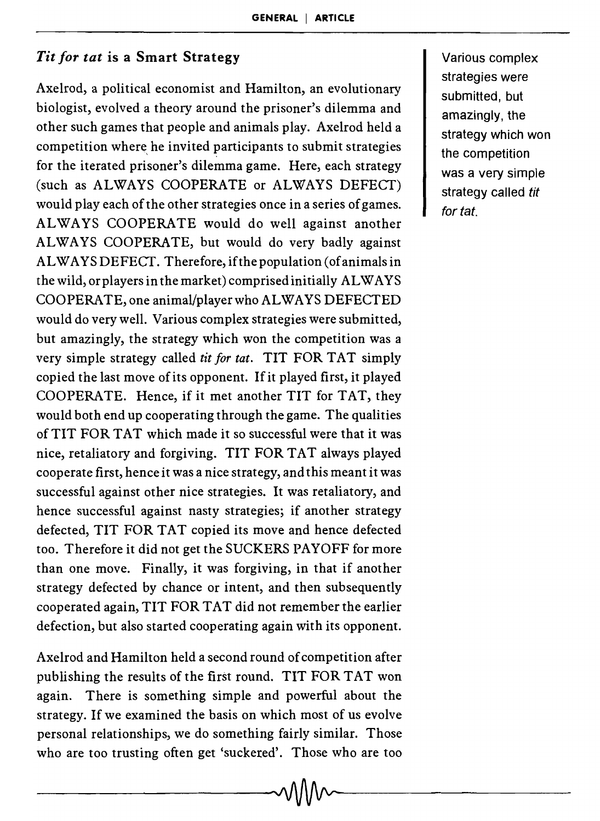# *Tit for tat* is a Smart Strategy

Axelrod, a political economist and Hamilton, an evolutionary biologist, evolved a theory around the prisoner's dilemma and other such games that people and animals play. Axelrod held a competition where he invited participants to submit strategies for the iterated prisoner's dilemma game. Here, each strategy (such as ALWAYS COOPERATE or ALWAYS DEFECT) would play each of the other strategies once in a series of games. ALWAYS COOPERATE would do well against another AL WAYS COOPERATE, but would do very badly against ALWAYS DEFECT. Therefore, if the population (of animals in the wild, orplayers in the market) comprised initially ALWAYS COOPERATE, one animal/player who ALWAYS DEFECTED would do very well. Various complex strategies were submitted, but amazingly, the strategy which won the competition was a very simple strategy called *tit for tat.* TIT FOR TAT simply copied the last move of its opponent. If it played first, it played COOPERATE. Hence, if it met another TIT for TAT, they would both end up cooperating through the game. The qualities of TIT FOR TAT which made it so successful were that it was nice, retaliatory and forgiving. TIT FOR TAT always played cooperate first, hence it was a nice strategy, and this meant it was successful against other nice strategies. It was retaliatory, and hence successful against nasty strategies; if another strategy defected, TIT FOR TAT copied its move and hence defected too. Therefore it did not get the SUCKERS PAYOFF for more than one move. Finally, it was forgiving, in that if another strategy defected by chance or intent, and then subsequently cooperated again, TIT FOR TAT did not remember the earlier defection, but also started cooperating again with its opponent.

Axelrod and Hamilton held a second round of competition after publishing the results of the first round. TIT FOR TAT won again. There is something simple and powerful about the strategy. If we examined the basis on which most of us evolve personal relationships, we do something fairly similar. Those who are too trusting often get 'suckered'. Those who are too

 $-1$ 

Various complex strategies were submitted, but amazingly, the strategy which won the competition was a very simple strategy called tit for tat.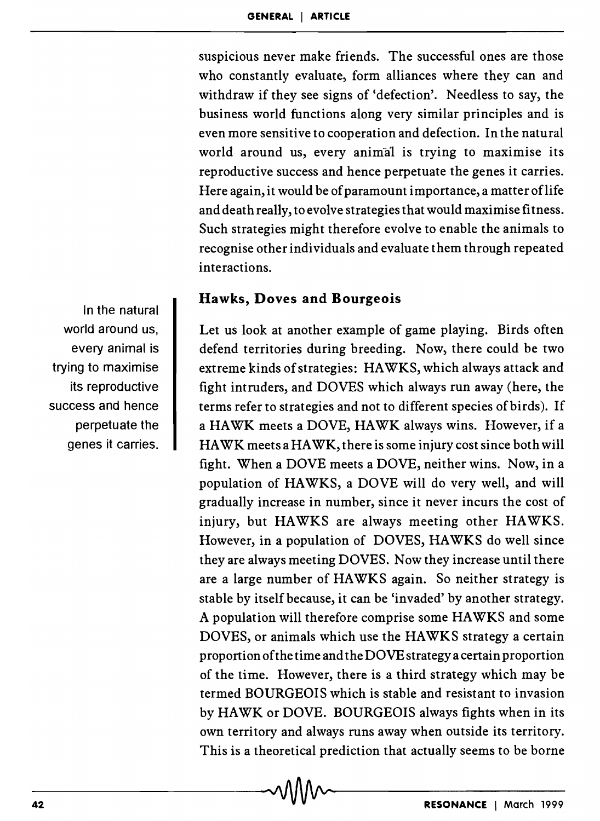suspicious never make friends. The successful ones are those who constantly evaluate, form alliances where they can and withdraw if they see signs of 'defection'. Needless to say, the business world functions along very similar principles and is even more sensitive to cooperation and defection. In the natural world around us, every animal is trying to maximise its reproductive success and hence perpetuate the genes it carries. Here again, it would be of paramount importance, a matter of life and death really, to evolve strategies that would maximise fitness. Such strategies might therefore evolve to enable the animals to recognise other individuals and evaluate them through repeated interactions.

#### Hawks, Doves and Bourgeois

Let us look at another example of game playing. Birds often defend territories during breeding. Now, there could be two extreme kinds of strategies: HAWKS, which always attack and fight intruders, and DOVES which always run away (here, the terms refer to strategies and not to different species of birds). If a HAWK meets a DOVE, HAWK always wins. However, if a HAWK meets a HAWK, there is some injury cost since both will fight. When a DOVE meets a DOVE, neither wins. Now, in a population of HAWKS, a DOVE will do very well, and will gradually increase in number, since it never incurs the cost of injury, but HAWKS are always meeting other HAWKS. However, in a population of DOVES, HAWKS do well since they are always meeting DOVES. Now they increase until there are a large number of HAWKS again. So neither strategy is stable by itself because, it can be 'invaded' by another strategy. A population will therefore comprise some HAWKS and some DOVES, or animals which use the HAWKS strategy a certain proportion of the time and the DOVE strategy a certain proportion of the time. However, there is a third strategy which may be termed BOURGEOIS which is stable and resistant to invasion by HAWK or DOVE. BOURGEOIS always fights when in its own territory and always runs away when outside its territory. This is a theoretical prediction that actually seems to be borne

In the natural world around us, every animal is trying to maximise its reproductive success and hence perpetuate the genes it carries.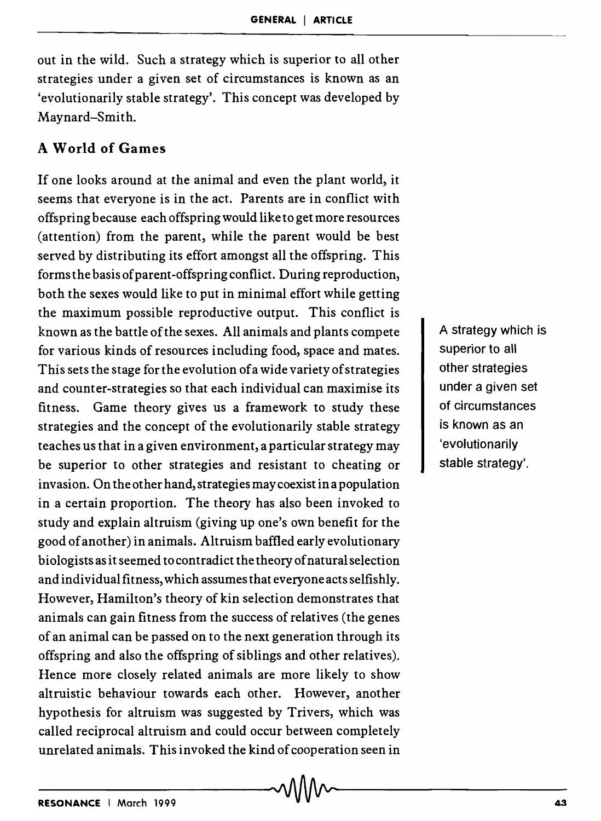out in the wild. Such a strategy which is superior to all other strategies under a given set of circumstances is known as an 'evolutionarily stable strategy'. This concept was developed by Maynard-Smith.

# A **World of Games**

If one looks around at the animal and even the plant world, it seems that everyone is in the act. Parents are in conflict with offspring because each offspring would like to get more resources (attention) from the parent, while the parent would be best served by distributing its effort amongst all the offspring. This forms the basis of parent-offspring conflict. During reproduction, both the sexes would like to put in minimal effort while getting the maximum possible reproductive output. This conflict is known as the battle of the sexes. All animals and plants compete for various kinds of resources including food, space and mates. This sets the stage for the evolution of a wide variety of strategies and counter-strategies so that each individual can maximise its fitness. Game theory gives us a framework to study these strategies and the concept of the evolutionarily stable strategy teaches us that in a given environment, a particular strategy may be superior to other strategies and resistant to cheating or invasion. On the other hand, strategies may coexist in a population in a certain proportion. The theory has also been invoked to study and explain altruism (giving up one's own benefit for the good of another) in animals. Altruism baffled early evolutionary biologists as it seemed to contradict the theory of natural selection and individual fitness, which assumes that everyone acts selfishly. However, Hamilton's theory of kin selection demonstrates that animals can gain fitness from the success of relatives (the genes of an animal can be passed on to the next generation through its offspring and also the offspring of siblings and other relatives). Hence more closely related animals are more likely to show altruistic behaviour towards each other. However, another hypothesis for altruism was suggested by Trivers, which was called reciprocal altruism and could occur between completely unrelated animals. This invoked the kind of cooperation seen in

A strategy which is superior to all other strategies under a given set of circumstances is known as an 'evolutionarily stable strategy'.